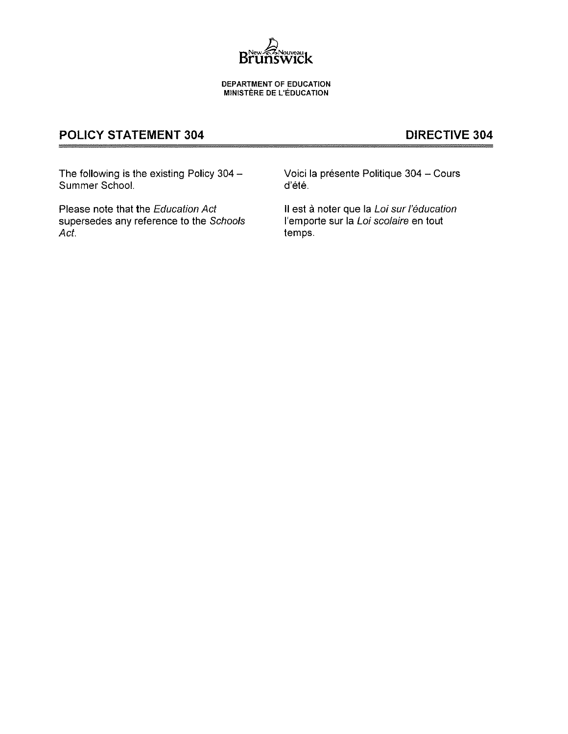

DEPARTMENT OF EDUCATION **MINISTÈRE DE L'ÉDUCATION** 

# POLICY STATEMENT 304 DIRECTIVE 304

The following is the existing Policy 304 - Voici la présente Politique 304 - Cours<br>Summer School. d'été. Summer School.

Please note that the Education Act II est à noter que la Loi sur l'éducation supersedes any reference to the Schools l'emporte sur la Loi scolaire en tout Act. **According to the Contract of the Contract of the Contract of the Contract of the Contract of the Contract of the Contract of the Contract of the Contract of the Contract of the Contract of the Contract of the Contrac**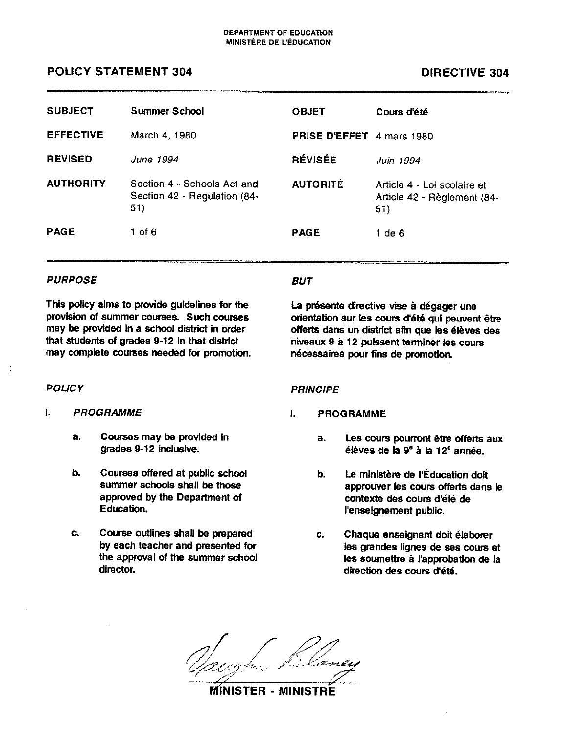# POLICY STATEMENT 304 DIRECTIVE 304

| <b>SUBJECT</b>   | <b>Summer School</b>                                               | <b>OBJET</b>                     | Cours d'été                                                       |
|------------------|--------------------------------------------------------------------|----------------------------------|-------------------------------------------------------------------|
| <b>EFFECTIVE</b> | March 4, 1980                                                      | <b>PRISE D'EFFET</b> 4 mars 1980 |                                                                   |
| <b>REVISED</b>   | June 1994                                                          | <b>RÉVISÉE</b>                   | Juin 1994                                                         |
| <b>AUTHORITY</b> | Section 4 - Schools Act and<br>Section 42 - Regulation (84-<br>51) | <b>AUTORITÉ</b>                  | Article 4 - Loi scolaire et<br>Article 42 - Règlement (84-<br>51) |
| <b>PAGE</b>      | $1$ of $6$                                                         | <b>PAGE</b>                      | $1$ de $6$                                                        |

## PURPOSE BUT

This policy alms to provide guidelines for the provision of summer courses. Such courses may be provided in <sup>a</sup> school district in order that students of grades 9-12 in that district may complete courses needed for promotion.

- $\mathbf{L}$ PROGRAMME
	- a. Courses may be provided In grades 9-12 inclusive.
	- b. Courses offered at public school summer schools shall be those approved by the Department of Education.
	- c. Course outlines shall be prepared by each teacher and presented for the approval of the summer school director.

La présente directive vise à dégager une orientation sur les cours d'été qui peuvent être offerts dans un district afin que les élèves des niveaux 9 <sup>a</sup> 12 puissent terminer les cours nécessaires pour fins de promotion.

# POLICY POLICY PRINCIPE

#### $\mathbf{L}$ PROGRAMME

- a. Les cours pourront être offerts aux élèves de la  $9^{\circ}$  à la 12<sup>°</sup> année.
- b. Le ministère de l'Éducation doit approuver les cours offerts dans le contexte des cours d'été de l'enseignement public.
- c. Chaque enseignant doit élaborer les grandes lignes de ses cours et les soumettre à l'approbation de la direction des cours dété.

v-v

### MINISTER - MINISTRE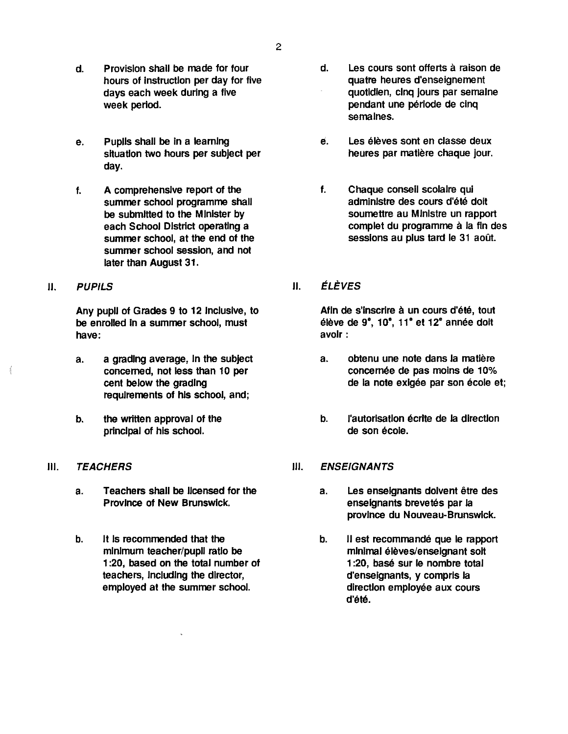- d. Provision shall be made for four hours of instruction per day for five days each week during <sup>a</sup> five week period.
- e. PupIls shall be in <sup>a</sup> learning situation two hours per Subject per day.
- f. A comprehensive repor<sup>t</sup> of the summer school programme shall be submItted to the Minister by each School District operating a summer school, at the end of the summer school session, and not later than August 31.
- 

Any pupil of Grades 9 to 12 inclusIve, to be enrolled in <sup>a</sup> summer school, must have:

- a. <sup>a</sup> grading average, in the subject concerned, not less than 10 per cent below the grading requirements of his school, and;
- b. the written approval of the principal of his school.
- Ill. TEACHERS
	- a. Teachers shall be licensed for the Province of New Brunswick
	- b. It Is recommended that the minimum teacher/pupil ratio be 1:20, based on the total number of teachers, including the director, employed at the summer school.
- d. Les cours sont offerts a raison de quatre heures d'enseignement quotidien, cinq jours par semaine pendant une période de cinq semalnes.
- è. Les élèves sont en classe deux heures par matiere chaque jour.
- f. Chaque conseil scolaire qui administre des cours d'été dolt soumettre au Ministre un rappor<sup>t</sup> complet du programme à la fin des sessions au plus tard le 31 août.
- II. PUPILS II. ELEVES

Afin de s'inscrire à un cours d'été, tout élève de 9<sup>e</sup>, 10<sup>e</sup>, 11<sup>e</sup> et 12<sup>e</sup> année doit avoir:

- a. obtenu une note dans Ia matlére concernée de pas moins de 10% de Ia note exigée par son école et;
- b. l'autorisation écrite de la direction de son école.
- iii. ENSEIGNANTS
	- a. Les enseignants dolvent étre des enseignants brevetés par Ia province du Nouveau-Brunswick.
	- b. Il est recommandé que le rapport minimal élèves/enseignant soft 1:20, base sur le nombre total d'enselgnants, <sup>y</sup> compris Ia direction employée aux cours d'été.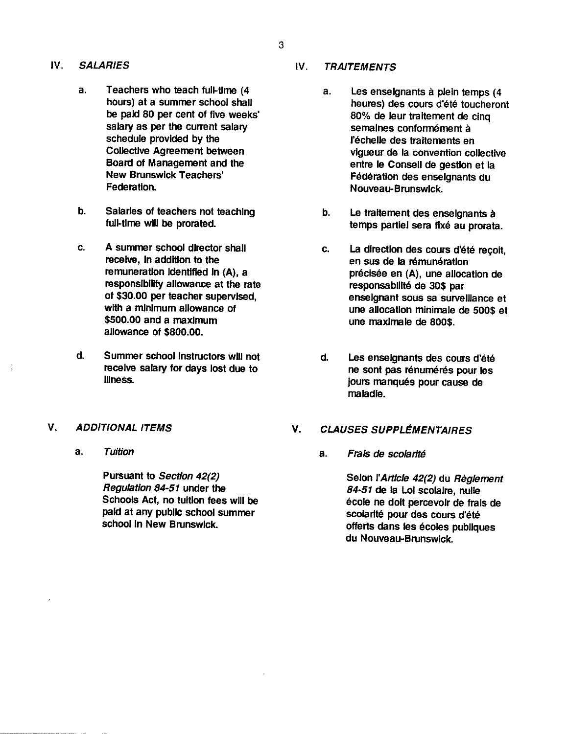- - a. Teachers who teach full-time (4 hours) at <sup>a</sup> summer school shall be paid 80 per cent of five weeks' salary as per the current salary schedule provided by the Collective Agreement between Board of Management and the New Brunswick Teachers' Federation.
	- b. Salaries of teachers not teaching full-time will be prorated.
	- c. A summer school director shall receive, in addition to the remuneration Identified in (A), <sup>a</sup> responsIbility allowance at the rate of \$30.00 per teacher supervised, with a minimum allowance of \$500.00 and <sup>a</sup> maximum allowance of \$800.00.
	- d. Summer school Instructors will not receive salary for days lost due to illness.

### V. ADDITIONAL ITEMS

a. Tuition

Pursuant to Section 42(2) Regulation 84-51 under the Schools Act, no tuition fees will be paid at any public school summer school In New Brunswick.

# IV. SALARIES IV. TRAITEMENTS

- a. Les enseignants à plein temps (4 heures) des cours d'été toucheront 80% de leur traitement de cinq semalnes conformément a l'échelle des traitements en vigueur de Ia convention collective entre le Conseil de gestion et Ia Federation des enseignants du Nouveau-Brunswick.
- b. Le traitement des enselgnants à temps partlei sera fixé au prorata.
- c. La direction des cours d'été recoil, en sus de la rémunération précisée en (A), une allocation de responsabilité de 30\$ par enseignant sous sa surveillance et une allocation mlnimale de 500\$ et une maxlmale de 800\$.
- d. Les enseignants des cours d'éte ne sont pas rénumérés pour les jours manqués pour cause de maladie.

### V. CLAUSES SUPPLEMENTAIRES

a. Frais de scolarité

Selon l'Articie 42(2) du Règlement 84-51 de Ia Lol scolaire, nulle école ne doll percevoir de frais de scolarité pour des cours d'été offerts dans les écoles publiques du Nouveau-BrunswIck.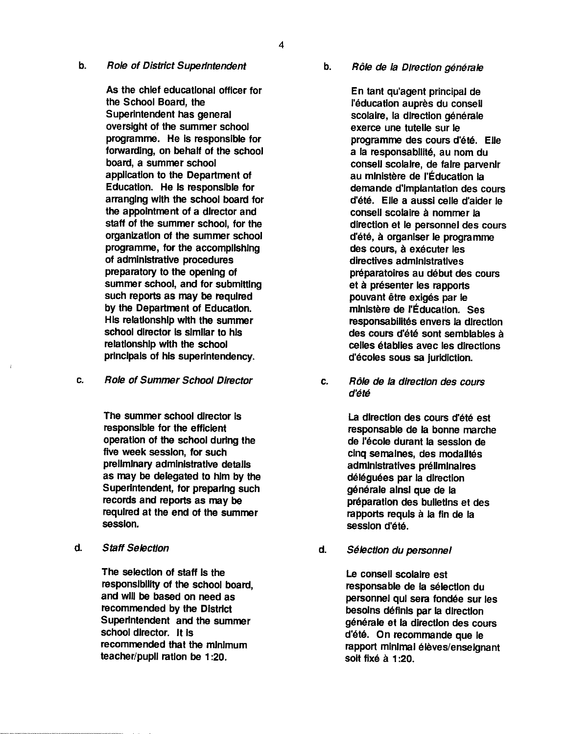4

#### b. Role of District Superintendent

As the chief educational officer for the School Board, the Superintendent has general oversight of the summer school programme. He is responsible for forwarding, on behalf of the school board, <sup>a</sup> summer school application to the Department of Education. He is responsible for arranging with the school board for the appointment of <sup>a</sup> director and staff of the summer school, for the organization of the summer school programme, for the accomplishing of administrative procedures preparatory to the opening of summer school, and for submitting such reports as may be required by the Department of Education. His relationship with the summer school director is similar to his relationshIp with the school principals of his superintendency.

c. Role of Summer School Director

The summer school director is responsible for the efficient operation of the school during the five week session, for such preliminary administrative details as may be delegated to him by the Superintendent, for preparing such records and reports as may be required at the end of the summer session.

d. Staff Selection

The selection of staff is the responsibility of the school board, and wili be based on need as recommended by the District Superintendent and the summer school director. it is recommended that the minimum teacher/pupil ration be 1:20.

b. Rôle de la Direction générale

En tant qu'agent principal de i'éducation auprés du conseii scolaire, la direction générale exerce une tuteile sur ie programme des cours d'été. Elie <sup>a</sup> Ia responsabilité, au nom du conseli scoiaire, de faire parvenir au ministère de l'Éducation la demande d'implantation des cours d'été. Elle a aussi celle d'aider le consell scolaire à nommer la direction et le personnei des cours d'été, à organi<mark>ser le program</mark>me des cours, a executer las directives administratives preparatoires au debut des cours et à présenter les rapports pouvant être exigés par le ministere de rEducation. Ses responsabilités envers la direction des cours d'été sont sembiables a celies établies avec les directions d'écoles sous sa juridiction.

c. Rôle de la direction des cours d'été

> La direction des cours d'été est responsable de ia bonne marche de l'école durant la session de cinq semaines, des modaiités admlnistratives preiiminaires déléguées par la direction générale ainsi que de Ia preparation des bulletins et des rapports requis a Ia fin de Ia session d'été.

d. Selection du personnel

Le consell scolaire est responsable de Ia selection du personnel qui sera fondée sur les besoins definis par Ia direction générale et la direction des cours d'été. On recommande que le rapport minimal élèves/enseignant soft fixé a 1:20.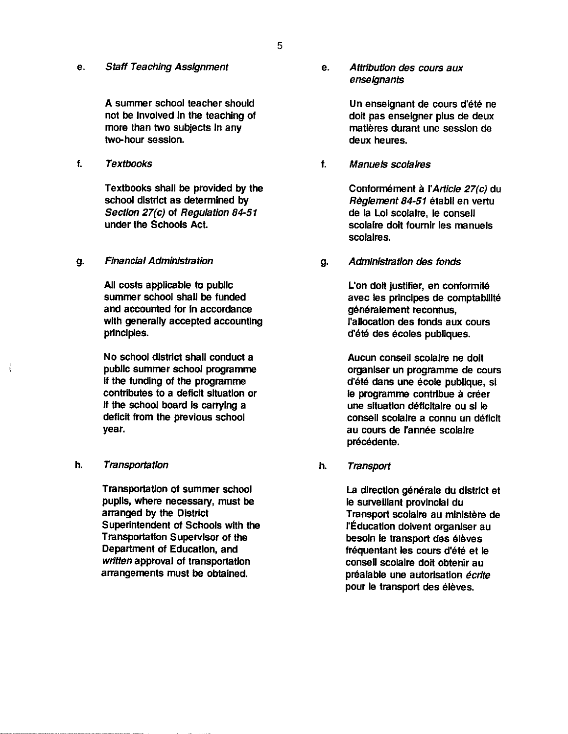e. Staff Teaching Assignment

A summer school teacher should not be involved In the teaching of more than two subjects In any two-hour session.

Textbooks shall be provided by the school district as determined by Section 27(c) of Regulation 84-51 under the Schools Act.

#### g. Financial Administration

All costs applicable to public summer school shall be funded and accounted for In accordance with generally accepted accounting principles.

No school district shall conduct <sup>a</sup> public summer school programme if the funding of the programme contributes to <sup>a</sup> deficit situation or If the school board is carrying a deficit from the previous school year.

### h. Transportation

Transportation of summer school pupils, where necessary, must be arranged by the District Superintendent of Schools with the Transportation Supervisor of the Department of Education, and written approval of transportation arrangements must be obtained.

**enseignants** e. Attribution des cours aux

> Un enseignant de cours d'été ne dolt pas enseigner plus de deux matléres durant une session de deux heures.

f. Textbooks f. Manueis scolaires

Conformément à l'Article 27(c) du Règlement 84-51 établi en vertu de Ia Loi scolalre, le conseli scolaire dolt foumir les manuels scolalres.

g. Administration des fonds

L'on doit justifier, en conformité avec les principes de comptabilité genéralement reconnus, l'aliocatlon des fonds aux cours d'été des écoles publiques.

Aucun conseii scolaire ne dolt organiser un programme de cours d'été dans une école publique, si le programme contribue à créer une sltuatlon déficltaire ou Si le consell scolalre <sup>a</sup> connu un deficit au cours de l'année scolaire précédente.

h. Transport

La direction générale du district et ie surveillant provincial du Transport scolaire au mlnistére de l'Éducation doivent organiser au besoin le transport des éleves frequentant les cours d'été et le conseil scolaire doit obtenir au préalable une autorisation écrite pour le transport des élèves.